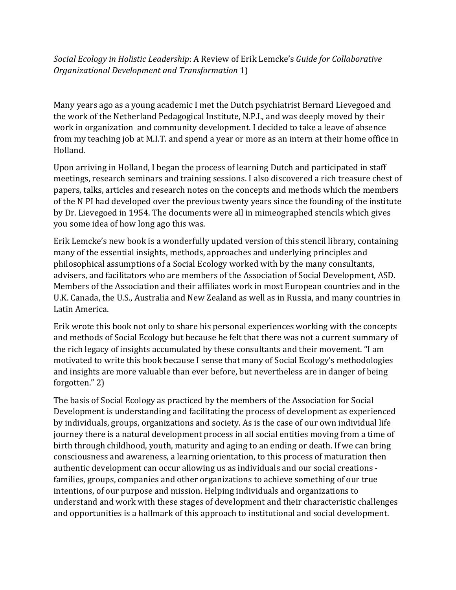*Social Ecology in Holistic Leadership:* A Review of Erik Lemcke's *Guide for Collaborative Organizational Development and Transformation 1)* 

Many years ago as a young academic I met the Dutch psychiatrist Bernard Lievegoed and the work of the Netherland Pedagogical Institute, N.P.I., and was deeply moved by their work in organization and community development. I decided to take a leave of absence from my teaching job at M.I.T. and spend a year or more as an intern at their home office in Holland.

Upon arriving in Holland, I began the process of learning Dutch and participated in staff meetings, research seminars and training sessions. I also discovered a rich treasure chest of papers, talks, articles and research notes on the concepts and methods which the members of the N PI had developed over the previous twenty years since the founding of the institute by Dr. Lievegoed in 1954. The documents were all in mimeographed stencils which gives you some idea of how long ago this was.

Erik Lemcke's new book is a wonderfully updated version of this stencil library, containing many of the essential insights, methods, approaches and underlying principles and philosophical assumptions of a Social Ecology worked with by the many consultants, advisers, and facilitators who are members of the Association of Social Development, ASD. Members of the Association and their affiliates work in most European countries and in the U.K. Canada, the U.S., Australia and New Zealand as well as in Russia, and many countries in Latin America.

Erik wrote this book not only to share his personal experiences working with the concepts and methods of Social Ecology but because he felt that there was not a current summary of the rich legacy of insights accumulated by these consultants and their movement. "I am motivated to write this book because I sense that many of Social Ecology's methodologies and insights are more valuable than ever before, but nevertheless are in danger of being forgotten." 2)

The basis of Social Ecology as practiced by the members of the Association for Social Development is understanding and facilitating the process of development as experienced by individuals, groups, organizations and society. As is the case of our own individual life journey there is a natural development process in all social entities moving from a time of birth through childhood, youth, maturity and aging to an ending or death. If we can bring consciousness and awareness, a learning orientation, to this process of maturation then authentic development can occur allowing us as individuals and our social creations families, groups, companies and other organizations to achieve something of our true intentions, of our purpose and mission. Helping individuals and organizations to understand and work with these stages of development and their characteristic challenges and opportunities is a hallmark of this approach to institutional and social development.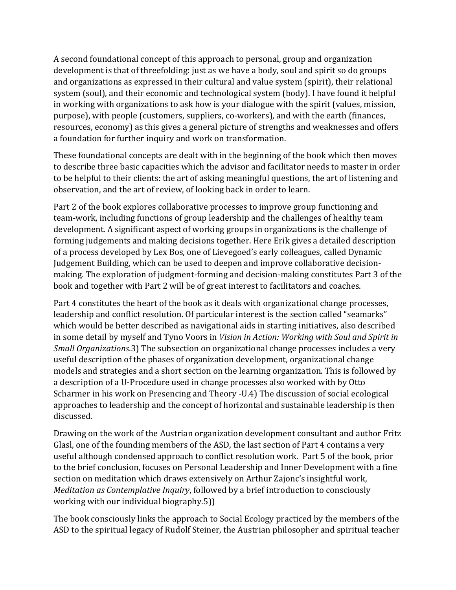A second foundational concept of this approach to personal, group and organization development is that of threefolding: just as we have a body, soul and spirit so do groups and organizations as expressed in their cultural and value system (spirit), their relational system (soul), and their economic and technological system (body). I have found it helpful in working with organizations to ask how is your dialogue with the spirit (values, mission, purpose), with people (customers, suppliers, co-workers), and with the earth (finances, resources, economy) as this gives a general picture of strengths and weaknesses and offers a foundation for further inquiry and work on transformation.

These foundational concepts are dealt with in the beginning of the book which then moves to describe three basic capacities which the advisor and facilitator needs to master in order to be helpful to their clients: the art of asking meaningful questions, the art of listening and observation, and the art of review, of looking back in order to learn.

Part 2 of the book explores collaborative processes to improve group functioning and team-work, including functions of group leadership and the challenges of healthy team development. A significant aspect of working groups in organizations is the challenge of forming judgements and making decisions together. Here Erik gives a detailed description of a process developed by Lex Bos, one of Lievegoed's early colleagues, called Dynamic Judgement Building, which can be used to deepen and improve collaborative decisionmaking. The exploration of judgment-forming and decision-making constitutes Part 3 of the book and together with Part 2 will be of great interest to facilitators and coaches.

Part 4 constitutes the heart of the book as it deals with organizational change processes, leadership and conflict resolution. Of particular interest is the section called "seamarks" which would be better described as navigational aids in starting initiatives, also described in some detail by myself and Tyno Voors in *Vision in Action: Working with Soul and Spirit in Small Organizations*.3) The subsection on organizational change processes includes a very useful description of the phases of organization development, organizational change models and strategies and a short section on the learning organization. This is followed by a description of a U-Procedure used in change processes also worked with by Otto Scharmer in his work on Presencing and Theory -U.4) The discussion of social ecological approaches to leadership and the concept of horizontal and sustainable leadership is then discussed.

Drawing on the work of the Austrian organization development consultant and author Fritz Glasl, one of the founding members of the ASD, the last section of Part 4 contains a very useful although condensed approach to conflict resolution work. Part 5 of the book, prior to the brief conclusion, focuses on Personal Leadership and Inner Development with a fine section on meditation which draws extensively on Arthur Zajonc's insightful work, *Meditation as Contemplative Inquiry*, followed by a brief introduction to consciously working with our individual biography.5))

The book consciously links the approach to Social Ecology practiced by the members of the ASD to the spiritual legacy of Rudolf Steiner, the Austrian philosopher and spiritual teacher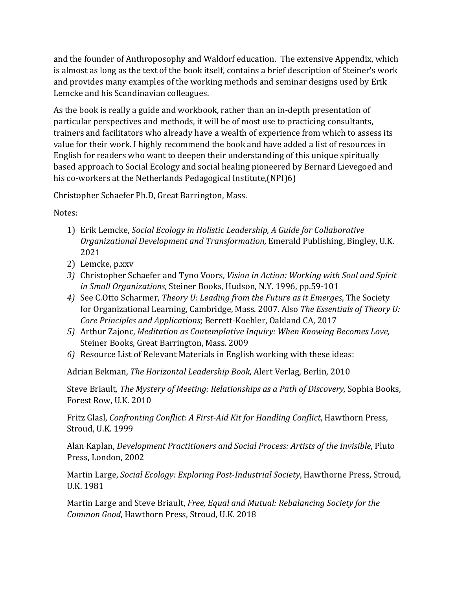and the founder of Anthroposophy and Waldorf education. The extensive Appendix, which is almost as long as the text of the book itself, contains a brief description of Steiner's work and provides many examples of the working methods and seminar designs used by Erik Lemcke and his Scandinavian colleagues.

As the book is really a guide and workbook, rather than an in-depth presentation of particular perspectives and methods, it will be of most use to practicing consultants, trainers and facilitators who already have a wealth of experience from which to assess its value for their work. I highly recommend the book and have added a list of resources in English for readers who want to deepen their understanding of this unique spiritually based approach to Social Ecology and social healing pioneered by Bernard Lievegoed and his co-workers at the Netherlands Pedagogical Institute,(NPI)6)

Christopher Schaefer Ph.D, Great Barrington, Mass.

Notes:

- 1) Erik Lemcke, *Social Ecology in Holistic Leadership, A Guide for Collaborative Organizational Development and Transformation, Emerald Publishing, Bingley, U.K.* 2021
- 2) Lemcke, p.xxv
- 3) Christopher Schaefer and Tyno Voors, *Vision in Action: Working with Soul and Spirit in Small Organizations, Steiner Books, Hudson, N.Y. 1996, pp.59-101*
- 4) See C.Otto Scharmer, *Theory U: Leading from the Future as it Emerges*, The Society for Organizational Learning, Cambridge, Mass. 2007. Also *The Essentials of Theory U: Core Principles and Applications*; Berrett-Koehler, Oakland CA, 2017
- 5) Arthur Zajonc, *Meditation as Contemplative Inquiry:* When *Knowing Becomes Love*, Steiner Books, Great Barrington, Mass. 2009
- 6) Resource List of Relevant Materials in English working with these ideas:

Adrian Bekman, *The Horizontal Leadership Book*, Alert Verlag, Berlin, 2010

Steve Briault, *The Mystery of Meeting: Relationships as a Path of Discovery*, Sophia Books, Forest Row, U.K. 2010

Fritz Glasl, *Confronting Conflict: A First-Aid Kit for Handling Conflict*, Hawthorn Press, Stroud, U.K. 1999

Alan Kaplan, *Development Practitioners and Social Process: Artists of the Invisible*, Pluto Press, London, 2002

Martin Large, *Social Ecology: Exploring Post-Industrial Society*, Hawthorne Press, Stroud, U.K. 1981

Martin Large and Steve Briault, *Free, Equal and Mutual: Rebalancing Society for the* Common Good, Hawthorn Press, Stroud, U.K. 2018